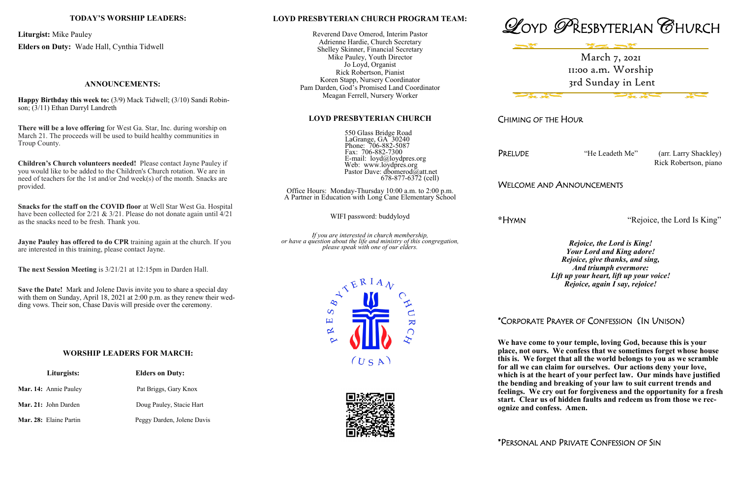## **LOYD PRESBYTERIAN CHURCH PROGRAM TEAM:**

Reverend Dave Omerod, Interim Pastor Adrienne Hardie, Church Secretary Shelley Skinner, Financial Secretary Mike Pauley, Youth Director Jo Loyd, Organist Rick Robertson, Pianist Koren Stapp, Nursery Coordinator Pam Darden, God's Promised Land Coordinator Meagan Ferrell, Nursery Worker

#### **LOYD PRESBYTERIAN CHURCH**

 550 Glass Bridge Road LaGrange, GA 30240 Phone: 706-882-5087 Fax: 706-882-7300 E-mail: loyd@loydpres.org Web: www.loydpres.org Pastor Dave: dbomerod@att.net 678-877-6372 (cell)

PRELUDE "He Leadeth Me" (arr. Larry Shackley) Rick Robertson, piano

Office Hours: Monday-Thursday 10:00 a.m. to 2:00 p.m. A Partner in Education with Long Cane Elementary School

WIFI password: buddyloyd

*If you are interested in church membership, or have a question about the life and ministry of this congregation, please speak with one of our elders.*



 $\overline{C}$ 

 $\overline{\mathbf{K}}$ 

 $\infty$ 

 $\overline{S}$  $\boxed{\mathbf{L}}$ 









CHIMING OF THE HOUR

## WELCOME AND ANNOUNCEMENTS

**\***HYMN "Rejoice, the Lord Is King"

*Rejoice, the Lord is King! Your Lord and King adore! Rejoice, give thanks, and sing, And triumph evermore: Lift up your heart, lift up your voice! Rejoice, again I say, rejoice!*

# \*CORPORATE PRAYER OF CONFESSION (IN UNISON)

**We have come to your temple, loving God, because this is your place, not ours. We confess that we sometimes forget whose house this is. We forget that all the world belongs to you as we scramble for all we can claim for ourselves. Our actions deny your love, which is at the heart of your perfect law. Our minds have justified the bending and breaking of your law to suit current trends and feelings. We cry out for forgiveness and the opportunity for a fresh start. Clear us of hidden faults and redeem us from those we recognize and confess. Amen.**

\*PERSONAL AND PRIVATE CONFESSION OF SIN

## **TODAY'S WORSHIP LEADERS:**

**Liturgist:** Mike Pauley

**Elders on Duty:** Wade Hall, Cynthia Tidwell

## **ANNOUNCEMENTS:**

**Happy Birthday this week to:** (3/9) Mack Tidwell; (3/10) Sandi Robinson; (3/11) Ethan Darryl Landreth

**There will be a love offering** for West Ga. Star, Inc. during worship on March 21. The proceeds will be used to build healthy communities in Troup County.

**Children's Church volunteers needed!** Please contact Jayne Pauley if you would like to be added to the Children's Church rotation. We are in need of teachers for the 1st and/or 2nd week(s) of the month. Snacks are provided.

**Snacks for the staff on the COVID floor** at Well Star West Ga. Hospital have been collected for  $2/21 \& 3/21$ . Please do not donate again until  $4/21$ as the snacks need to be fresh. Thank you.

**Jayne Pauley has offered to do CPR** training again at the church. If you are interested in this training, please contact Jayne.

**The next Session Meeting** is 3/21/21 at 12:15pm in Darden Hall.

**Save the Date!** Mark and Jolene Davis invite you to share a special day with them on Sunday, April 18, 2021 at 2:00 p.m. as they renew their wedding vows. Their son, Chase Davis will preside over the ceremony.

## **WORSHIP LEADERS FOR MARCH:**

| Liturgists:            | <b>Elders on Duty:</b>     |  |
|------------------------|----------------------------|--|
| Mar. 14: Annie Pauley  | Pat Briggs, Gary Knox      |  |
| Mar. 21: John Darden   | Doug Pauley, Stacie Hart   |  |
| Mar. 28: Elaine Partin | Peggy Darden, Jolene Davis |  |

March 7, 2021 11:00 a.m. Worship 3rd Sunday in Lent